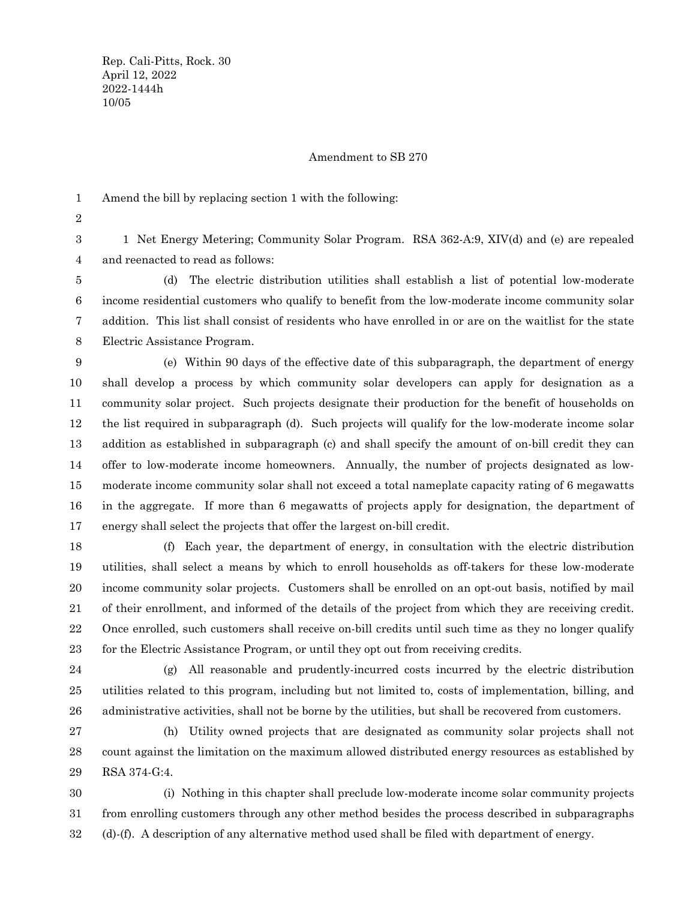## Amendment to SB 270

Amend the bill by replacing section 1 with the following: 1

2

1 Net Energy Metering; Community Solar Program. RSA 362-A:9, XIV(d) and (e) are repealed and reenacted to read as follows: 3 4

(d) The electric distribution utilities shall establish a list of potential low-moderate income residential customers who qualify to benefit from the low-moderate income community solar addition. This list shall consist of residents who have enrolled in or are on the waitlist for the state Electric Assistance Program. 5 6 7 8

(e) Within 90 days of the effective date of this subparagraph, the department of energy shall develop a process by which community solar developers can apply for designation as a community solar project. Such projects designate their production for the benefit of households on the list required in subparagraph (d). Such projects will qualify for the low-moderate income solar addition as established in subparagraph (c) and shall specify the amount of on-bill credit they can offer to low-moderate income homeowners. Annually, the number of projects designated as lowmoderate income community solar shall not exceed a total nameplate capacity rating of 6 megawatts in the aggregate. If more than 6 megawatts of projects apply for designation, the department of energy shall select the projects that offer the largest on-bill credit. 9 10 11 12 13 14 15 16 17

(f) Each year, the department of energy, in consultation with the electric distribution utilities, shall select a means by which to enroll households as off-takers for these low-moderate income community solar projects. Customers shall be enrolled on an opt-out basis, notified by mail of their enrollment, and informed of the details of the project from which they are receiving credit. Once enrolled, such customers shall receive on-bill credits until such time as they no longer qualify for the Electric Assistance Program, or until they opt out from receiving credits. 18 19 20 21 22 23

24

(g) All reasonable and prudently-incurred costs incurred by the electric distribution utilities related to this program, including but not limited to, costs of implementation, billing, and administrative activities, shall not be borne by the utilities, but shall be recovered from customers. 25 26

(h) Utility owned projects that are designated as community solar projects shall not count against the limitation on the maximum allowed distributed energy resources as established by RSA 374-G:4. 27 28 29

(i) Nothing in this chapter shall preclude low-moderate income solar community projects from enrolling customers through any other method besides the process described in subparagraphs (d)-(f). A description of any alternative method used shall be filed with department of energy. 30 31 32